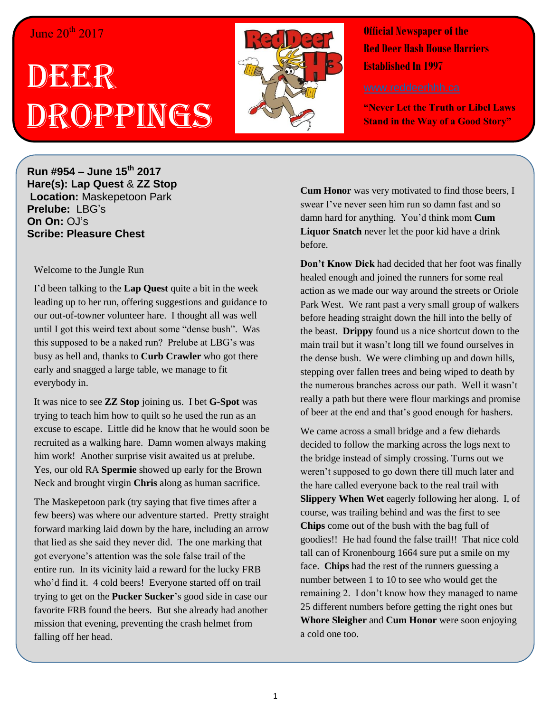## June 20<sup>th</sup> 2017

## DEER Droppings



**Official Newspaper of the Red Deer Hash House Harriers Established In 1997** 

**"Never Let the Truth or Libel Laws Stand in the Way of a Good Story"**

**Run #954 – June 15th 2017 Hare(s): Lap Quest** & **ZZ Stop Location:** Maskepetoon Park **Prelube:** LBG's **On On:** OJ's **Scribe: Pleasure Chest**

Welcome to the Jungle Run

I'd been talking to the **Lap Quest** quite a bit in the week leading up to her run, offering suggestions and guidance to our out-of-towner volunteer hare. I thought all was well until I got this weird text about some "dense bush". Was this supposed to be a naked run? Prelube at LBG's was busy as hell and, thanks to **Curb Crawler** who got there early and snagged a large table, we manage to fit everybody in.

It was nice to see **ZZ Stop** joining us. I bet **G-Spot** was trying to teach him how to quilt so he used the run as an excuse to escape. Little did he know that he would soon be recruited as a walking hare. Damn women always making him work! Another surprise visit awaited us at prelube. Yes, our old RA **Spermie** showed up early for the Brown Neck and brought virgin **Chris** along as human sacrifice.

The Maskepetoon park (try saying that five times after a few beers) was where our adventure started. Pretty straight forward marking laid down by the hare, including an arrow that lied as she said they never did. The one marking that got everyone's attention was the sole false trail of the entire run. In its vicinity laid a reward for the lucky FRB who'd find it. 4 cold beers! Everyone started off on trail trying to get on the **Pucker Sucker**'s good side in case our favorite FRB found the beers. But she already had another mission that evening, preventing the crash helmet from falling off her head.

**Cum Honor** was very motivated to find those beers, I swear I've never seen him run so damn fast and so damn hard for anything. You'd think mom **Cum Liquor Snatch** never let the poor kid have a drink before.

**Don't Know Dick** had decided that her foot was finally healed enough and joined the runners for some real action as we made our way around the streets or Oriole Park West. We rant past a very small group of walkers before heading straight down the hill into the belly of the beast. **Drippy** found us a nice shortcut down to the main trail but it wasn't long till we found ourselves in the dense bush. We were climbing up and down hills, stepping over fallen trees and being wiped to death by the numerous branches across our path. Well it wasn't really a path but there were flour markings and promise of beer at the end and that's good enough for hashers.

We came across a small bridge and a few diehards decided to follow the marking across the logs next to the bridge instead of simply crossing. Turns out we weren't supposed to go down there till much later and the hare called everyone back to the real trail with **Slippery When Wet** eagerly following her along. I, of course, was trailing behind and was the first to see **Chips** come out of the bush with the bag full of goodies!! He had found the false trail!! That nice cold tall can of Kronenbourg 1664 sure put a smile on my face. **Chips** had the rest of the runners guessing a number between 1 to 10 to see who would get the remaining 2. I don't know how they managed to name 25 different numbers before getting the right ones but **Whore Sleigher** and **Cum Honor** were soon enjoying a cold one too.